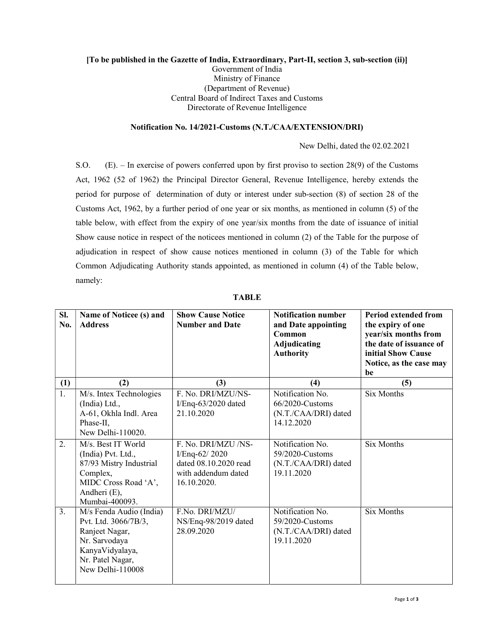## [To be published in the Gazette of India, Extraordinary, Part-II, section 3, sub-section (ii)] Government of India Ministry of Finance (Department of Revenue) Central Board of Indirect Taxes and Customs Directorate of Revenue Intelligence

## Notification No. 14/2021-Customs (N.T./CAA/EXTENSION/DRI)

New Delhi, dated the 02.02.2021

S.O. (E). – In exercise of powers conferred upon by first proviso to section 28(9) of the Customs Act, 1962 (52 of 1962) the Principal Director General, Revenue Intelligence, hereby extends the period for purpose of determination of duty or interest under sub-section (8) of section 28 of the Customs Act, 1962, by a further period of one year or six months, as mentioned in column (5) of the table below, with effect from the expiry of one year/six months from the date of issuance of initial Show cause notice in respect of the noticees mentioned in column (2) of the Table for the purpose of adjudication in respect of show cause notices mentioned in column (3) of the Table for which Common Adjudicating Authority stands appointed, as mentioned in column (4) of the Table below, namely:

| SI.<br>No. | Name of Noticee (s) and<br><b>Address</b>                                                                                                     | <b>Show Cause Notice</b><br><b>Number and Date</b>                                                  | <b>Notification number</b><br>and Date appointing<br>Common<br>Adjudicating<br><b>Authority</b> | <b>Period extended from</b><br>the expiry of one<br>year/six months from<br>the date of issuance of<br>initial Show Cause<br>Notice, as the case may<br>be |
|------------|-----------------------------------------------------------------------------------------------------------------------------------------------|-----------------------------------------------------------------------------------------------------|-------------------------------------------------------------------------------------------------|------------------------------------------------------------------------------------------------------------------------------------------------------------|
| (1)        | (2)                                                                                                                                           | (3)                                                                                                 | (4)                                                                                             | (5)                                                                                                                                                        |
| 1.         | M/s. Intex Technologies<br>(India) Ltd.,<br>A-61, Okhla Indl. Area<br>Phase-II,<br>New Delhi-110020.                                          | F. No. DRI/MZU/NS-<br>$I/Eng-63/2020$ dated<br>21.10.2020                                           | Notification No.<br>66/2020-Customs<br>(N.T./CAA/DRI) dated<br>14.12.2020                       | <b>Six Months</b>                                                                                                                                          |
| 2.         | M/s. Best IT World<br>(India) Pvt. Ltd.,<br>87/93 Mistry Industrial<br>Complex,<br>MIDC Cross Road 'A',<br>Andheri (E),<br>Mumbai-400093.     | F. No. DRI/MZU /NS-<br>I/Enq-62/2020<br>dated 08.10.2020 read<br>with addendum dated<br>16.10.2020. | Notification No.<br>59/2020-Customs<br>(N.T./CAA/DRI) dated<br>19.11.2020                       | Six Months                                                                                                                                                 |
| 3.         | M/s Fenda Audio (India)<br>Pvt. Ltd. 3066/7B/3,<br>Ranjeet Nagar,<br>Nr. Sarvodaya<br>KanyaVidyalaya,<br>Nr. Patel Nagar,<br>New Delhi-110008 | F.No. DRI/MZU/<br>NS/Enq-98/2019 dated<br>28.09.2020                                                | Notification No.<br>59/2020-Customs<br>(N.T./CAA/DRI) dated<br>19.11.2020                       | <b>Six Months</b>                                                                                                                                          |

TABLE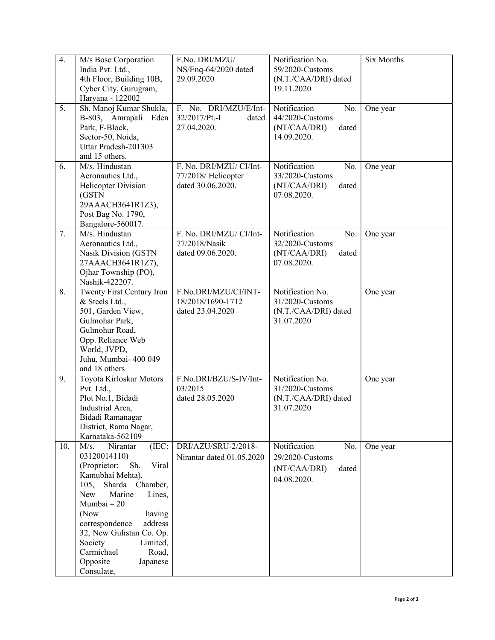| $\overline{4}$ . | M/s Bose Corporation<br>India Pvt. Ltd.,<br>4th Floor, Building 10B,<br>Cyber City, Gurugram,<br>Haryana - 122002                                                                                                                                                                                                                    | F.No. DRI/MZU/<br>NS/Enq-64/2020 dated<br>29.09.2020                | Notification No.<br>59/2020-Customs<br>(N.T./CAA/DRI) dated<br>19.11.2020      | <b>Six Months</b> |
|------------------|--------------------------------------------------------------------------------------------------------------------------------------------------------------------------------------------------------------------------------------------------------------------------------------------------------------------------------------|---------------------------------------------------------------------|--------------------------------------------------------------------------------|-------------------|
| 5.               | Sh. Manoj Kumar Shukla,<br>B-803, Amrapali<br>Eden<br>Park, F-Block,<br>Sector-50, Noida,<br>Uttar Pradesh-201303<br>and 15 others.                                                                                                                                                                                                  | F. No. DRI/MZU/E/Int-<br>32/2017/Pt.-I<br>dated<br>27.04.2020.      | Notification<br>No.<br>44/2020-Customs<br>(NT/CAA/DRI)<br>dated<br>14.09.2020. | One year          |
| 6.               | M/s. Hindustan<br>Aeronautics Ltd.,<br><b>Helicopter Division</b><br>(GSTN<br>29AAACH3641R1Z3),<br>Post Bag No. 1790,<br>Bangalore-560017.                                                                                                                                                                                           | F. No. DRI/MZU/ CI/Int-<br>77/2018/ Helicopter<br>dated 30.06.2020. | Notification<br>No.<br>33/2020-Customs<br>(NT/CAA/DRI)<br>dated<br>07.08.2020. | One year          |
| 7.               | M/s. Hindustan<br>Aeronautics Ltd.,<br>Nasik Division (GSTN<br>27AAACH3641R1Z7),<br>Ojhar Township (PO),<br>Nashik-422207.                                                                                                                                                                                                           | F. No. DRI/MZU/ CI/Int-<br>77/2018/Nasik<br>dated 09.06.2020.       | Notification<br>No.<br>32/2020-Customs<br>(NT/CAA/DRI)<br>dated<br>07.08.2020. | One year          |
| 8.               | Twenty First Century Iron<br>& Steels Ltd.,<br>501, Garden View,<br>Gulmohar Park,<br>Gulmohur Road,<br>Opp. Reliance Web<br>World, JVPD,<br>Juhu, Mumbai- 400 049<br>and 18 others                                                                                                                                                  | F.No.DRI/MZU/CI/INT-<br>18/2018/1690-1712<br>dated 23.04.2020       | Notification No.<br>31/2020-Customs<br>(N.T./CAA/DRI) dated<br>31.07.2020      | One year          |
| 9.               | Toyota Kirloskar Motors<br>Pvt. Ltd.,<br>Plot No.1, Bidadi<br>Industrial Area,<br>Bidadi Ramanagar<br>District, Rama Nagar,<br>Karnataka-562109                                                                                                                                                                                      | F.No.DRI/BZU/S-IV/Int-<br>03/2015<br>dated 28.05.2020               | Notification No.<br>31/2020-Customs<br>(N.T./CAA/DRI) dated<br>31.07.2020      | One year          |
| 10.              | M/s.<br>Nirantar<br>(IEC:<br>03120014110)<br>(Proprietor:<br>Viral<br>Sh.<br>Kamubhai Mehta),<br>Sharda<br>Chamber,<br>105,<br>New<br>Marine<br>Lines,<br>Mumbai - 20<br>(Now<br>having<br>correspondence<br>address<br>32, New Gulistan Co. Op.<br>Society<br>Limited,<br>Carmichael<br>Road,<br>Opposite<br>Japanese<br>Consulate, | DRI/AZU/SRU-2/2018-<br>Nirantar dated 01.05.2020                    | Notification<br>No.<br>29/2020-Customs<br>(NT/CAA/DRI)<br>dated<br>04.08.2020. | One year          |